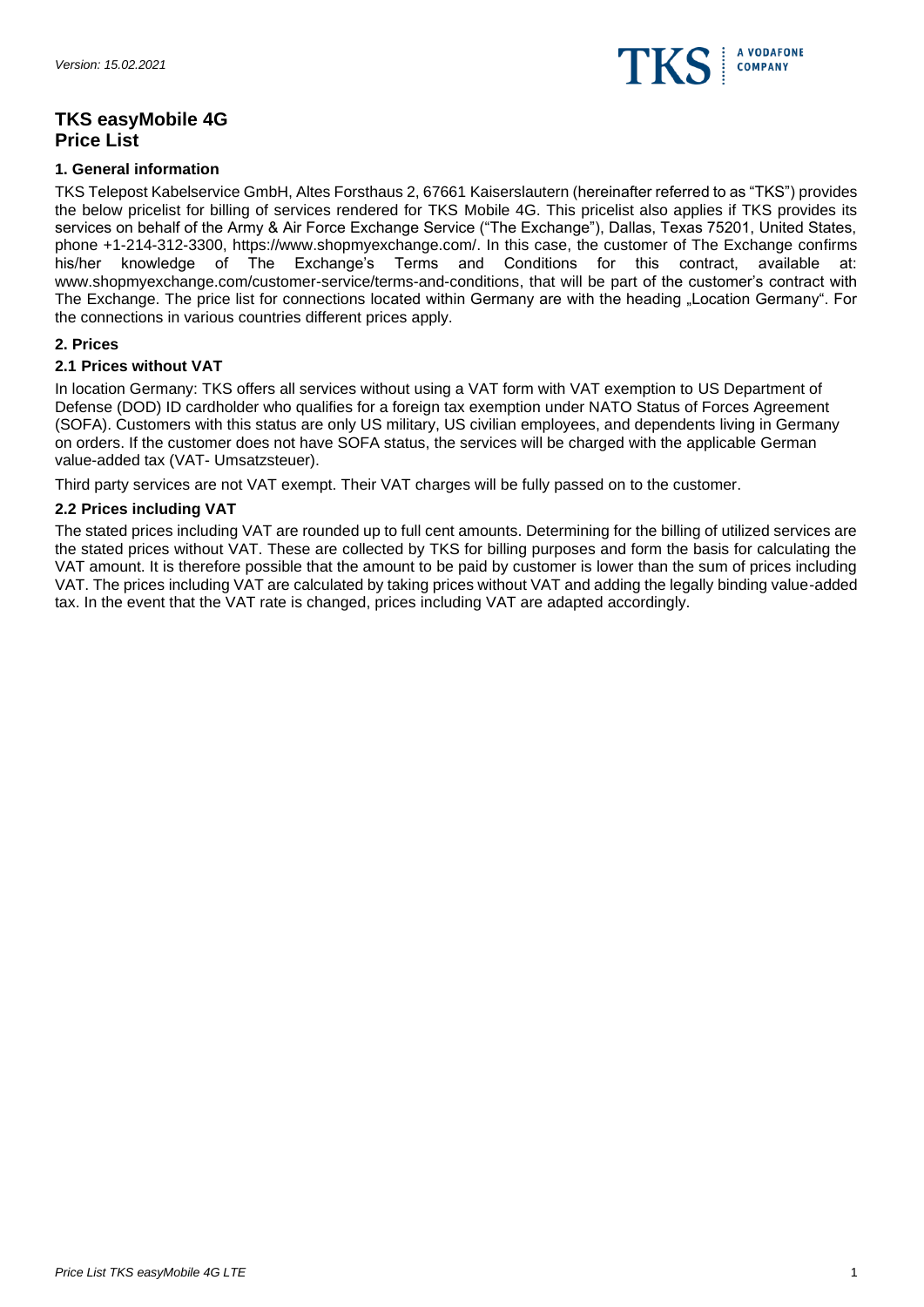

# **TKS easyMobile 4G Price List**

#### **1. General information**

TKS Telepost Kabelservice GmbH, Altes Forsthaus 2, 67661 Kaiserslautern (hereinafter referred to as "TKS") provides the below pricelist for billing of services rendered for TKS Mobile 4G. This pricelist also applies if TKS provides its services on behalf of the Army & Air Force Exchange Service ("The Exchange"), Dallas, Texas 75201, United States, phone +1-214-312-3300, https://www.shopmyexchange.com/. In this case, the customer of The Exchange confirms knowledge of The Exchange's Terms and Conditions for this contract, available at: www.shopmyexchange.com/customer-service/terms-and-conditions, that will be part of the customer's contract with The Exchange. The price list for connections located within Germany are with the heading "Location Germany". For the connections in various countries different prices apply.

#### **2. Prices**

### **2.1 Prices without VAT**

In location Germany: TKS offers all services without using a VAT form with VAT exemption to US Department of Defense (DOD) ID cardholder who qualifies for a foreign tax exemption under NATO Status of Forces Agreement (SOFA). Customers with this status are only US military, US civilian employees, and dependents living in Germany on orders. If the customer does not have SOFA status, the services will be charged with the applicable German value-added tax (VAT- Umsatzsteuer).

Third party services are not VAT exempt. Their VAT charges will be fully passed on to the customer.

#### **2.2 Prices including VAT**

The stated prices including VAT are rounded up to full cent amounts. Determining for the billing of utilized services are the stated prices without VAT. These are collected by TKS for billing purposes and form the basis for calculating the VAT amount. It is therefore possible that the amount to be paid by customer is lower than the sum of prices including VAT. The prices including VAT are calculated by taking prices without VAT and adding the legally binding value-added tax. In the event that the VAT rate is changed, prices including VAT are adapted accordingly.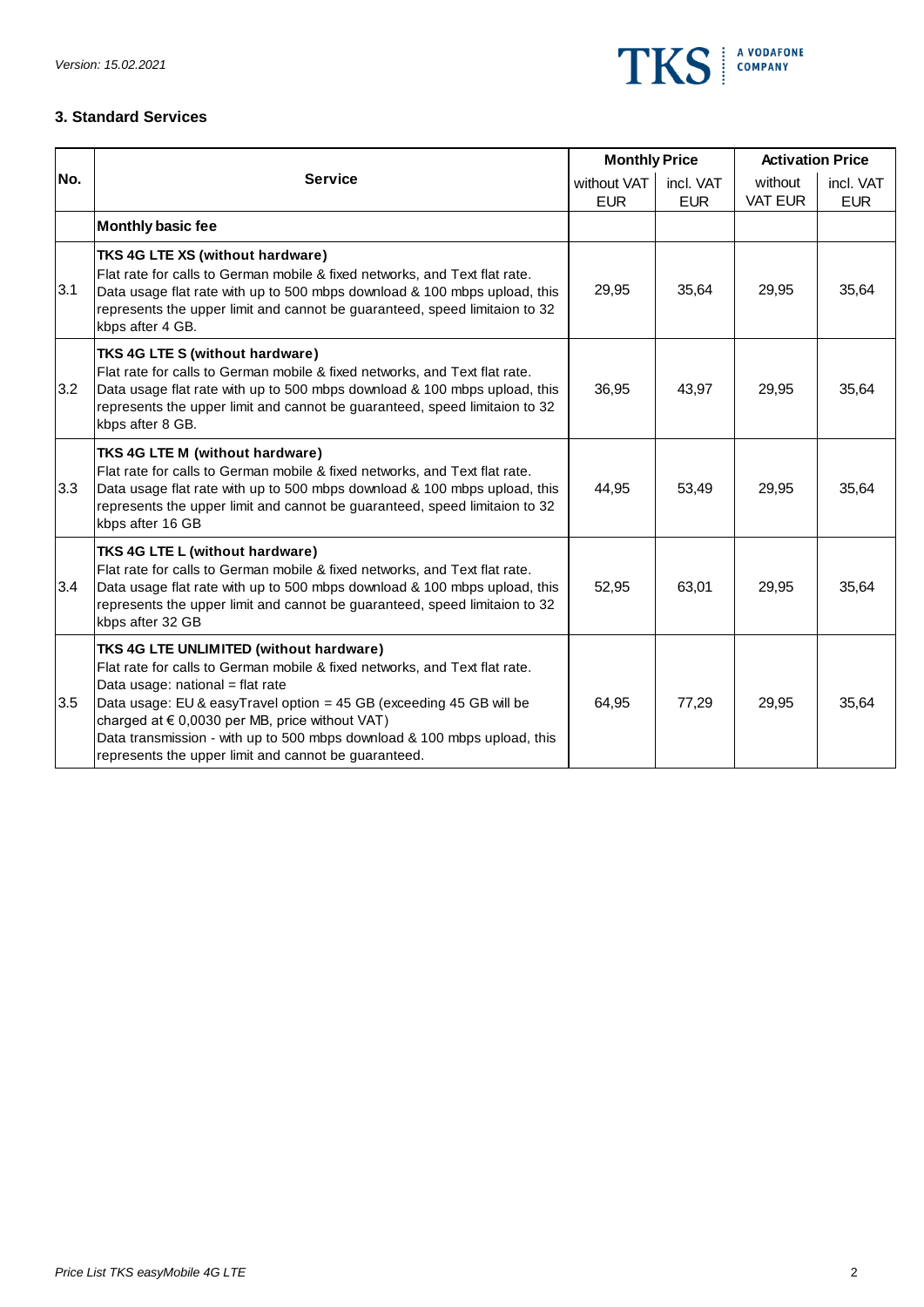

# **3. Standard Services**

|     |                                                                                                                                                                                                                                                                                                                                                                                                                        | <b>Monthly Price</b> |            | <b>Activation Price</b> |            |
|-----|------------------------------------------------------------------------------------------------------------------------------------------------------------------------------------------------------------------------------------------------------------------------------------------------------------------------------------------------------------------------------------------------------------------------|----------------------|------------|-------------------------|------------|
| No. | <b>Service</b>                                                                                                                                                                                                                                                                                                                                                                                                         | without VAT          | incl. VAT  | without                 | incl. VAT  |
|     |                                                                                                                                                                                                                                                                                                                                                                                                                        | <b>EUR</b>           | <b>EUR</b> | <b>VAT EUR</b>          | <b>EUR</b> |
|     | <b>Monthly basic fee</b>                                                                                                                                                                                                                                                                                                                                                                                               |                      |            |                         |            |
| 3.1 | TKS 4G LTE XS (without hardware)<br>Flat rate for calls to German mobile & fixed networks, and Text flat rate.<br>Data usage flat rate with up to 500 mbps download & 100 mbps upload, this<br>represents the upper limit and cannot be guaranteed, speed limitaion to 32<br>kbps after 4 GB.                                                                                                                          | 29,95                | 35,64      | 29,95                   | 35,64      |
| 3.2 | <b>TKS 4G LTE S (without hardware)</b><br>Flat rate for calls to German mobile & fixed networks, and Text flat rate.<br>Data usage flat rate with up to 500 mbps download & 100 mbps upload, this<br>represents the upper limit and cannot be guaranteed, speed limitaion to 32<br>kbps after 8 GB.                                                                                                                    | 36,95                | 43,97      | 29,95                   | 35,64      |
| 3.3 | TKS 4G LTE M (without hardware)<br>Flat rate for calls to German mobile & fixed networks, and Text flat rate.<br>Data usage flat rate with up to 500 mbps download & 100 mbps upload, this<br>represents the upper limit and cannot be guaranteed, speed limitaion to 32<br>kbps after 16 GB                                                                                                                           | 44,95                | 53,49      | 29,95                   | 35,64      |
| 3.4 | TKS 4G LTE L (without hardware)<br>Flat rate for calls to German mobile & fixed networks, and Text flat rate.<br>Data usage flat rate with up to 500 mbps download & 100 mbps upload, this<br>represents the upper limit and cannot be guaranteed, speed limitaion to 32<br>kbps after 32 GB                                                                                                                           | 52,95                | 63,01      | 29,95                   | 35,64      |
| 3.5 | TKS 4G LTE UNLIMITED (without hardware)<br>Flat rate for calls to German mobile & fixed networks, and Text flat rate.<br>Data usage: national = flat rate<br>Data usage: EU & easyTravel option = 45 GB (exceeding 45 GB will be<br>charged at € 0,0030 per MB, price without VAT)<br>Data transmission - with up to 500 mbps download & 100 mbps upload, this<br>represents the upper limit and cannot be guaranteed. | 64,95                | 77,29      | 29,95                   | 35,64      |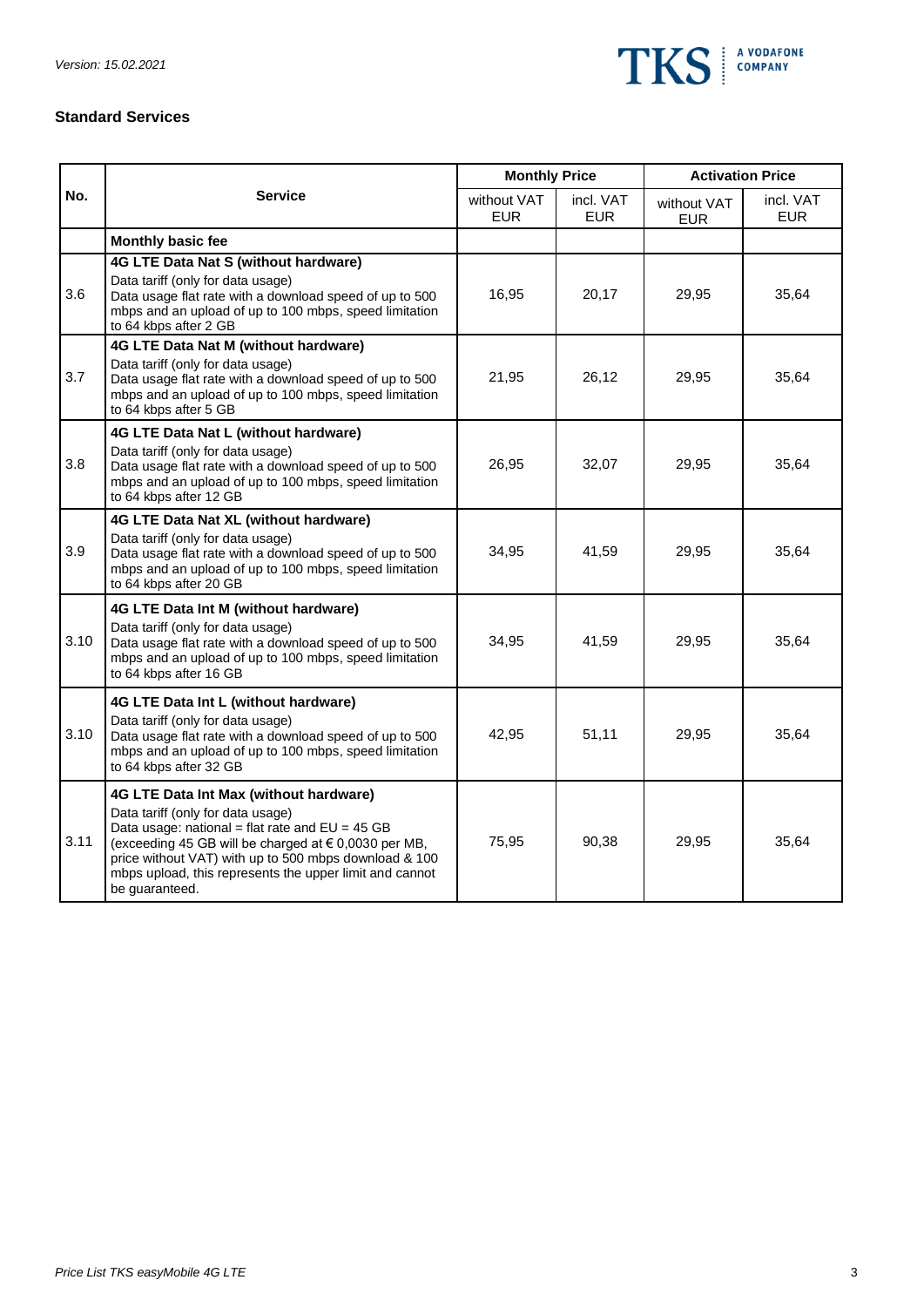

# **Standard Services**

|      |                                                                                                                                                                                                                                                                                                                                | <b>Monthly Price</b>      |                         | <b>Activation Price</b>   |                   |  |
|------|--------------------------------------------------------------------------------------------------------------------------------------------------------------------------------------------------------------------------------------------------------------------------------------------------------------------------------|---------------------------|-------------------------|---------------------------|-------------------|--|
| No.  | <b>Service</b>                                                                                                                                                                                                                                                                                                                 | without VAT<br><b>EUR</b> | incl. VAT<br><b>EUR</b> | without VAT<br><b>EUR</b> | incl. VAT<br>EUR. |  |
|      | Monthly basic fee                                                                                                                                                                                                                                                                                                              |                           |                         |                           |                   |  |
| 3.6  | 4G LTE Data Nat S (without hardware)<br>Data tariff (only for data usage)<br>Data usage flat rate with a download speed of up to 500<br>mbps and an upload of up to 100 mbps, speed limitation<br>to 64 kbps after 2 GB                                                                                                        | 16,95                     | 20,17                   | 29,95                     | 35,64             |  |
| 3.7  | 4G LTE Data Nat M (without hardware)<br>Data tariff (only for data usage)<br>Data usage flat rate with a download speed of up to 500<br>mbps and an upload of up to 100 mbps, speed limitation<br>to 64 kbps after 5 GB                                                                                                        | 21,95                     | 26,12                   | 29,95                     | 35,64             |  |
| 3.8  | 4G LTE Data Nat L (without hardware)<br>Data tariff (only for data usage)<br>Data usage flat rate with a download speed of up to 500<br>mbps and an upload of up to 100 mbps, speed limitation<br>to 64 kbps after 12 GB                                                                                                       | 26,95                     | 32,07                   | 29,95                     | 35,64             |  |
| 3.9  | 4G LTE Data Nat XL (without hardware)<br>Data tariff (only for data usage)<br>Data usage flat rate with a download speed of up to 500<br>mbps and an upload of up to 100 mbps, speed limitation<br>to 64 kbps after 20 GB                                                                                                      | 34,95                     | 41,59                   | 29,95                     | 35,64             |  |
| 3.10 | 4G LTE Data Int M (without hardware)<br>Data tariff (only for data usage)<br>Data usage flat rate with a download speed of up to 500<br>mbps and an upload of up to 100 mbps, speed limitation<br>to 64 kbps after 16 GB                                                                                                       | 34,95                     | 41,59                   | 29,95                     | 35,64             |  |
| 3.10 | 4G LTE Data Int L (without hardware)<br>Data tariff (only for data usage)<br>Data usage flat rate with a download speed of up to 500<br>mbps and an upload of up to 100 mbps, speed limitation<br>to 64 kbps after 32 GB                                                                                                       | 42,95                     | 51,11                   | 29,95                     | 35,64             |  |
| 3.11 | 4G LTE Data Int Max (without hardware)<br>Data tariff (only for data usage)<br>Data usage: national = flat rate and $EU = 45 GB$<br>(exceeding 45 GB will be charged at € 0,0030 per MB,<br>price without VAT) with up to 500 mbps download & 100<br>mbps upload, this represents the upper limit and cannot<br>be guaranteed. | 75,95                     | 90,38                   | 29,95                     | 35,64             |  |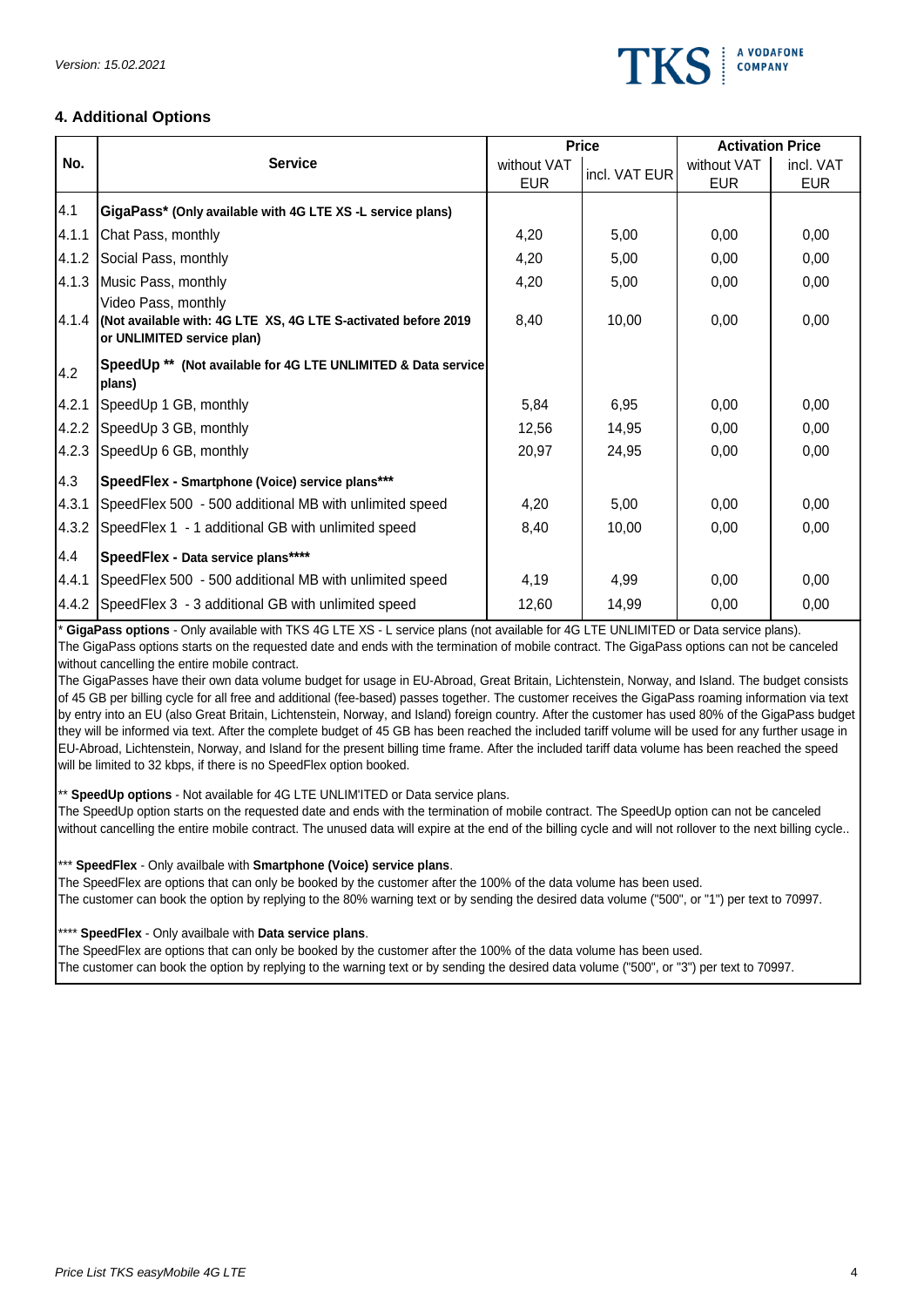

### **4. Additional Options**

|       |                                                                                                                           | <b>Price</b> |               | <b>Activation Price</b> |            |
|-------|---------------------------------------------------------------------------------------------------------------------------|--------------|---------------|-------------------------|------------|
| No.   | <b>Service</b>                                                                                                            | without VAT  | incl. VAT EUR | without VAT             | incl. VAT  |
|       |                                                                                                                           | <b>EUR</b>   |               | <b>EUR</b>              | <b>EUR</b> |
| 4.1   | GigaPass* (Only available with 4G LTE XS -L service plans)                                                                |              |               |                         |            |
| 4.1.1 | Chat Pass, monthly                                                                                                        | 4,20         | 5,00          | 0,00                    | 0,00       |
| 4.1.2 | Social Pass, monthly                                                                                                      | 4,20         | 5,00          | 0,00                    | 0,00       |
| 4.1.3 | Music Pass, monthly                                                                                                       | 4,20         | 5,00          | 0,00                    | 0,00       |
|       | Video Pass, monthly<br>4.1.4 (Not available with: 4G LTE XS, 4G LTE S-activated before 2019<br>or UNLIMITED service plan) | 8,40         | 10,00         | 0,00                    | 0,00       |
| 4.2   | SpeedUp ** (Not available for 4G LTE UNLIMITED & Data service<br>plans)                                                   |              |               |                         |            |
| 4.2.1 | SpeedUp 1 GB, monthly                                                                                                     | 5,84         | 6,95          | 0,00                    | 0,00       |
| 4.2.2 | SpeedUp 3 GB, monthly                                                                                                     | 12,56        | 14,95         | 0,00                    | 0,00       |
| 4.2.3 | SpeedUp 6 GB, monthly                                                                                                     | 20,97        | 24,95         | 0,00                    | 0,00       |
| 4.3   | SpeedFlex - Smartphone (Voice) service plans***                                                                           |              |               |                         |            |
| 4.3.1 | SpeedFlex 500 - 500 additional MB with unlimited speed                                                                    | 4,20         | 5,00          | 0,00                    | 0,00       |
| 4.3.2 | SpeedFlex 1 - 1 additional GB with unlimited speed                                                                        | 8,40         | 10,00         | 0,00                    | 0,00       |
| 4.4   | SpeedFlex - Data service plans****                                                                                        |              |               |                         |            |
| 4.4.1 | SpeedFlex 500 - 500 additional MB with unlimited speed                                                                    | 4,19         | 4,99          | 0,00                    | 0,00       |
|       | 4.4.2 SpeedFlex 3 - 3 additional GB with unlimited speed                                                                  | 12,60        | 14,99         | 0,00                    | 0,00       |

\* **GigaPass options** - Only available with TKS 4G LTE XS - L service plans (not available for 4G LTE UNLIMITED or Data service plans). The GigaPass options starts on the requested date and ends with the termination of mobile contract. The GigaPass options can not be canceled without cancelling the entire mobile contract.

The GigaPasses have their own data volume budget for usage in EU-Abroad, Great Britain, Lichtenstein, Norway, and Island. The budget consists of 45 GB per billing cycle for all free and additional (fee-based) passes together. The customer receives the GigaPass roaming information via text by entry into an EU (also Great Britain, Lichtenstein, Norway, and Island) foreign country. After the customer has used 80% of the GigaPass budget they will be informed via text. After the complete budget of 45 GB has been reached the included tariff volume will be used for any further usage in EU-Abroad, Lichtenstein, Norway, and Island for the present billing time frame. After the included tariff data volume has been reached the speed will be limited to 32 kbps, if there is no SpeedFlex option booked.

\*\* **SpeedUp options** - Not available for 4G LTE UNLIM'ITED or Data service plans.

The SpeedUp option starts on the requested date and ends with the termination of mobile contract. The SpeedUp option can not be canceled without cancelling the entire mobile contract. The unused data will expire at the end of the billing cycle and will not rollover to the next billing cycle..

\*\*\* **SpeedFlex** - Only availbale with **Smartphone (Voice) service plans**.

The SpeedFlex are options that can only be booked by the customer after the 100% of the data volume has been used. The customer can book the option by replying to the 80% warning text or by sending the desired data volume ("500", or "1") per text to 70997.

\*\*\*\* **SpeedFlex** - Only availbale with **Data service plans**.

The SpeedFlex are options that can only be booked by the customer after the 100% of the data volume has been used. The customer can book the option by replying to the warning text or by sending the desired data volume ("500", or "3") per text to 70997.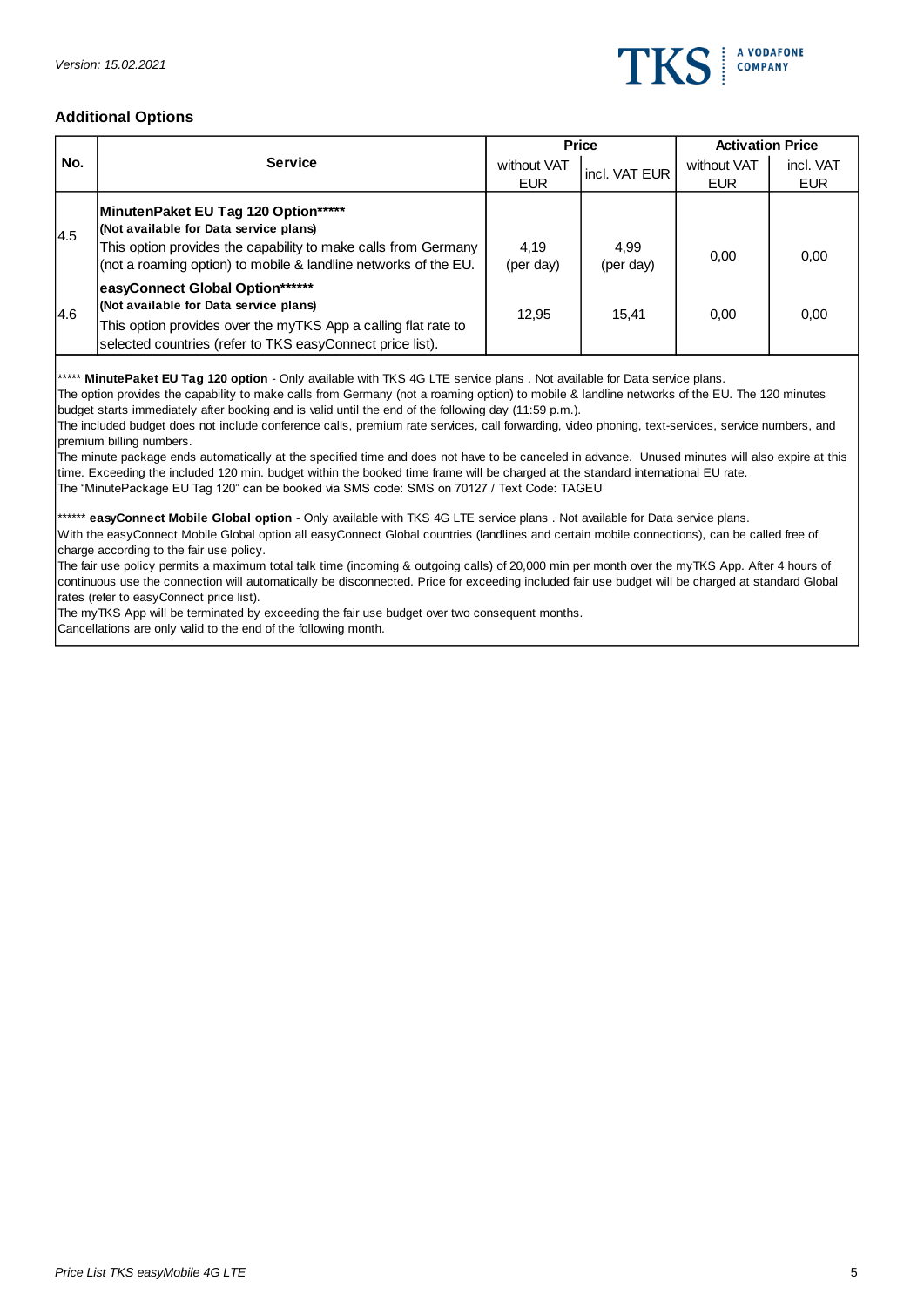

### **Additional Options**

|      |                                                                                                                                                                                                                    | <b>Price</b>      |                   | <b>Activation Price</b> |            |
|------|--------------------------------------------------------------------------------------------------------------------------------------------------------------------------------------------------------------------|-------------------|-------------------|-------------------------|------------|
| No.  | <b>Service</b>                                                                                                                                                                                                     | without VAT       | incl. VAT EUR     | without VAT             | incl. VAT  |
|      |                                                                                                                                                                                                                    | <b>EUR</b>        |                   | <b>EUR</b>              | <b>EUR</b> |
| 14.5 | MinutenPaket EU Tag 120 Option*****<br>(Not available for Data service plans)<br>This option provides the capability to make calls from Germany<br>(not a roaming option) to mobile & landline networks of the EU. | 4.19<br>(per day) | 4.99<br>(per day) | 0.00                    | 0,00       |
| 14.6 | easyConnect Global Option******<br>(Not available for Data service plans)<br>This option provides over the myTKS App a calling flat rate to<br>selected countries (refer to TKS easyConnect price list).           | 12.95             | 15.41             | 0.00                    | 0,00       |

\*\*\*\*\* **MinutePaket EU Tag 120 option** - Only available with TKS 4G LTE service plans . Not available for Data service plans.

The option provides the capability to make calls from Germany (not a roaming option) to mobile & landline networks of the EU. The 120 minutes budget starts immediately after booking and is valid until the end of the following day (11:59 p.m.).

The included budget does not include conference calls, premium rate services, call forwarding, video phoning, text-services, service numbers, and premium billing numbers.

The minute package ends automatically at the specified time and does not have to be canceled in advance. Unused minutes will also expire at this time. Exceeding the included 120 min. budget within the booked time frame will be charged at the standard international EU rate. The "MinutePackage EU Tag 120" can be booked via SMS code: SMS on 70127 / Text Code: TAGEU

\*\*\*\*\*\* **easyConnect Mobile Global option** - Only available with TKS 4G LTE service plans . Not available for Data service plans.

With the easyConnect Mobile Global option all easyConnect Global countries (landlines and certain mobile connections), can be called free of charge according to the fair use policy.

The fair use policy permits a maximum total talk time (incoming & outgoing calls) of 20,000 min per month over the myTKS App. After 4 hours of continuous use the connection will automatically be disconnected. Price for exceeding included fair use budget will be charged at standard Global rates (refer to easyConnect price list).

The myTKS App will be terminated by exceeding the fair use budget over two consequent months.

Cancellations are only valid to the end of the following month.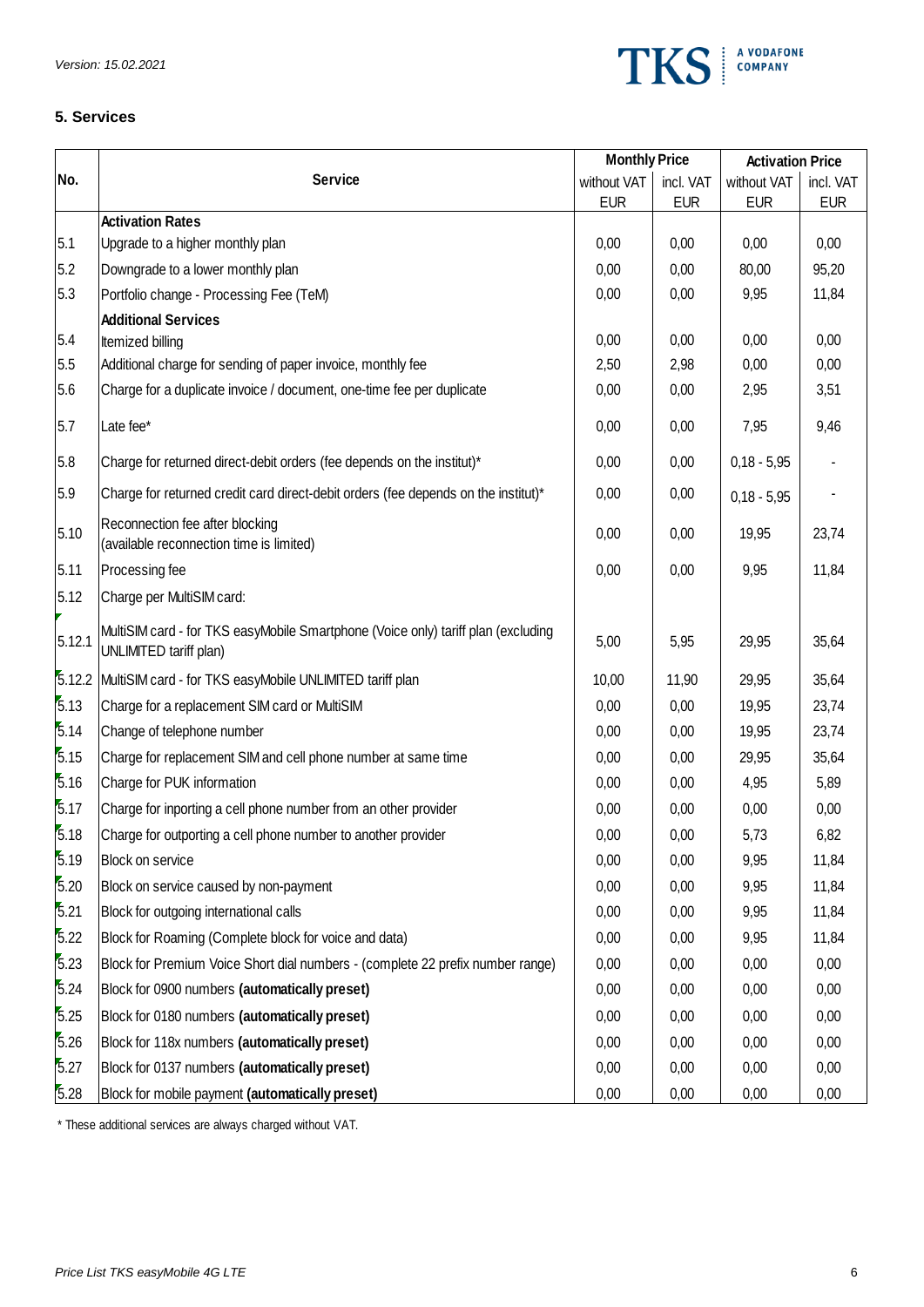

## **5. Services**

|        |                                                                                                             | <b>Monthly Price</b> |            | <b>Activation Price</b> |            |
|--------|-------------------------------------------------------------------------------------------------------------|----------------------|------------|-------------------------|------------|
| No.    | <b>Service</b>                                                                                              | without VAT          | incl. VAT  | without VAT             | incl. VAT  |
|        | <b>Activation Rates</b>                                                                                     | <b>EUR</b>           | <b>EUR</b> | <b>EUR</b>              | <b>EUR</b> |
| 5.1    | Upgrade to a higher monthly plan                                                                            | 0,00                 | 0,00       | 0,00                    | 0,00       |
| 5.2    | Downgrade to a lower monthly plan                                                                           | 0,00                 | 0,00       | 80,00                   | 95,20      |
| 5.3    | Portfolio change - Processing Fee (TeM)                                                                     | 0,00                 | 0,00       | 9,95                    | 11,84      |
|        | <b>Additional Services</b>                                                                                  |                      |            |                         |            |
| 5.4    | Itemized billing                                                                                            | 0,00                 | 0,00       | 0,00                    | 0,00       |
| 5.5    | Additional charge for sending of paper invoice, monthly fee                                                 | 2,50                 | 2,98       | 0,00                    | 0,00       |
| 5.6    | Charge for a duplicate invoice / document, one-time fee per duplicate                                       | 0,00                 | 0,00       | 2,95                    | 3,51       |
| 5.7    | Late fee*                                                                                                   | 0,00                 | 0,00       | 7,95                    | 9,46       |
| 5.8    | Charge for returned direct-debit orders (fee depends on the institut)*                                      | 0,00                 | 0,00       | $0,18 - 5,95$           |            |
| 5.9    | Charge for returned credit card direct-debit orders (fee depends on the institut)*                          | 0,00                 | 0,00       | $0,18 - 5,95$           |            |
| 5.10   | Reconnection fee after blocking<br>(available reconnection time is limited)                                 | 0,00                 | 0,00       | 19,95                   | 23,74      |
| 5.11   | Processing fee                                                                                              | 0,00                 | 0,00       | 9,95                    | 11,84      |
| 5.12   | Charge per MultiSIM card:                                                                                   |                      |            |                         |            |
| 5.12.1 | MultiSIM card - for TKS easyMobile Smartphone (Voice only) tariff plan (excluding<br>UNLIMITED tariff plan) | 5,00                 | 5,95       | 29,95                   | 35,64      |
| 5.12.2 | MultiSIM card - for TKS easyMobile UNLIMITED tariff plan                                                    | 10,00                | 11,90      | 29,95                   | 35,64      |
| 5.13   | Charge for a replacement SIM card or MultiSIM                                                               | 0,00                 | 0,00       | 19,95                   | 23,74      |
| 5.14   | Change of telephone number                                                                                  | 0,00                 | 0,00       | 19,95                   | 23,74      |
| 5.15   | Charge for replacement SIM and cell phone number at same time                                               | 0,00                 | 0,00       | 29,95                   | 35,64      |
| 5.16   | Charge for PUK information                                                                                  | 0,00                 | 0,00       | 4,95                    | 5,89       |
| 5.17   | Charge for inporting a cell phone number from an other provider                                             | 0,00                 | 0,00       | 0,00                    | 0,00       |
| 5.18   | Charge for outporting a cell phone number to another provider                                               | 0,00                 | 0,00       | 5,73                    | 6,82       |
| 5.19   | Block on service                                                                                            | 0,00                 | 0,00       | 9,95                    | 11,84      |
| 5.20   | Block on service caused by non-payment                                                                      | 0,00                 | 0,00       | 9,95                    | 11,84      |
| 5.21   | Block for outgoing international calls                                                                      | 0,00                 | 0,00       | 9,95                    | 11,84      |
| 5.22   | Block for Roaming (Complete block for voice and data)                                                       | 0,00                 | 0,00       | 9,95                    | 11,84      |
| 5.23   | Block for Premium Voice Short dial numbers - (complete 22 prefix number range)                              | 0,00                 | 0,00       | 0,00                    | 0,00       |
| 5.24   | Block for 0900 numbers (automatically preset)                                                               | 0,00                 | 0,00       | 0,00                    | 0,00       |
| 5.25   | Block for 0180 numbers (automatically preset)                                                               | 0,00                 | 0,00       | 0,00                    | 0,00       |
| 5.26   | Block for 118x numbers (automatically preset)                                                               | 0,00                 | 0,00       | 0,00                    | 0,00       |
| 5.27   | Block for 0137 numbers (automatically preset)                                                               | 0,00                 | 0,00       | 0,00                    | 0,00       |
| 5.28   | Block for mobile payment (automatically preset)                                                             | 0,00                 | 0,00       | 0,00                    | 0,00       |

\* These additional services are always charged without VAT.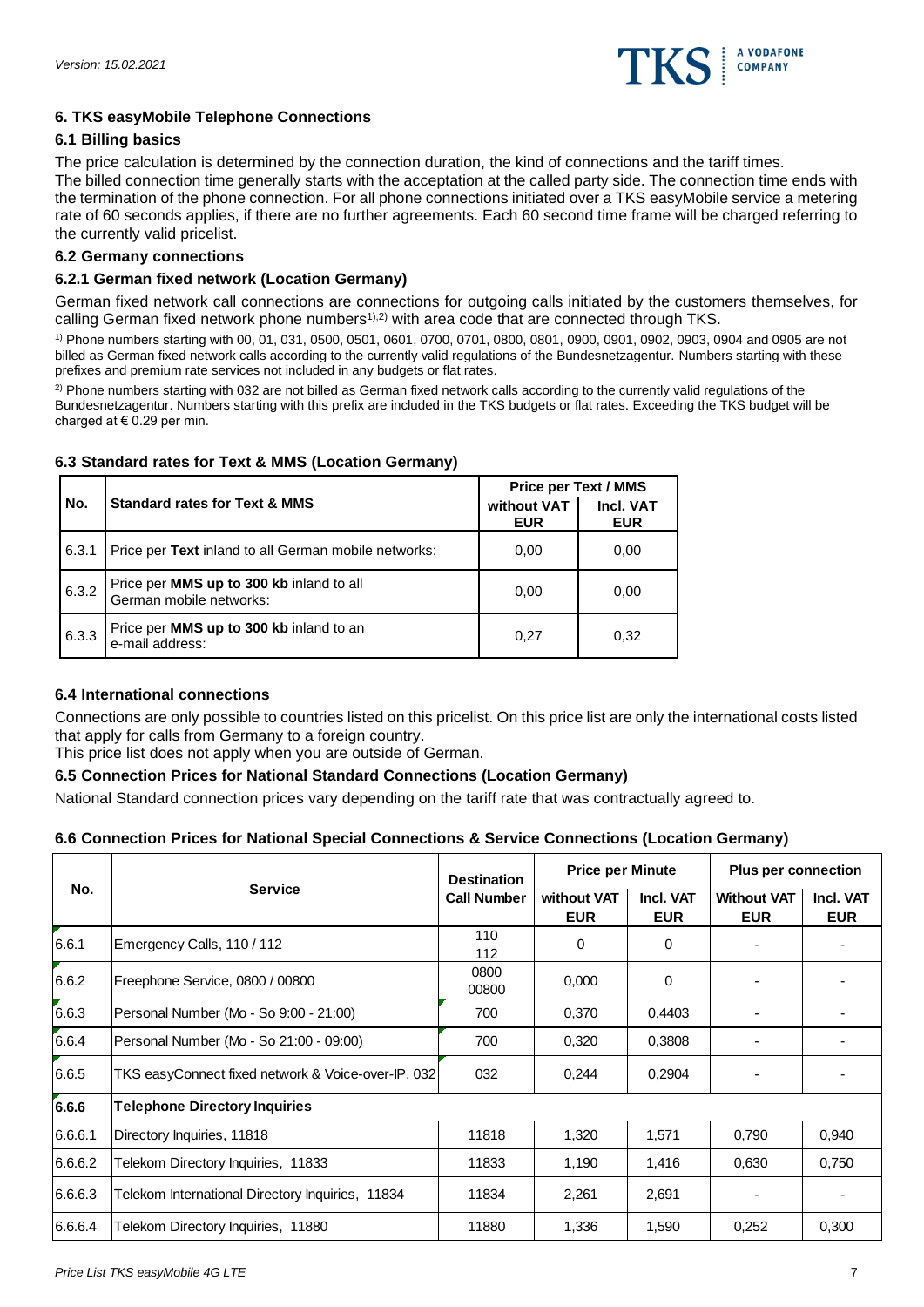

### **6. TKS easyMobile Telephone Connections**

#### **6.1 Billing basics**

The price calculation is determined by the connection duration, the kind of connections and the tariff times. The billed connection time generally starts with the acceptation at the called party side. The connection time ends with the termination of the phone connection. For all phone connections initiated over a TKS easyMobile service a metering rate of 60 seconds applies, if there are no further agreements. Each 60 second time frame will be charged referring to the currently valid pricelist.

#### **6.2 Germany connections**

#### **6.2.1 German fixed network (Location Germany)**

German fixed network call connections are connections for outgoing calls initiated by the customers themselves, for calling German fixed network phone numbers<sup>1),2)</sup> with area code that are connected through TKS.

1) Phone numbers starting with 00, 01, 031, 0500, 0501, 0601, 0700, 0701, 0800, 0801, 0900, 0901, 0902, 0903, 0904 and 0905 are not billed as German fixed network calls according to the currently valid regulations of the Bundesnetzagentur. Numbers starting with these prefixes and premium rate services not included in any budgets or flat rates.

<sup>2)</sup> Phone numbers starting with 032 are not billed as German fixed network calls according to the currently valid regulations of the Bundesnetzagentur. Numbers starting with this prefix are included in the TKS budgets or flat rates. Exceeding the TKS budget will be charged at  $\in 0.29$  per min.

### **6.3 Standard rates for Text & MMS (Location Germany)**

|       |                                                                     | <b>Price per Text / MMS</b> |                         |  |
|-------|---------------------------------------------------------------------|-----------------------------|-------------------------|--|
| No.   | <b>Standard rates for Text &amp; MMS</b>                            | without VAT<br><b>EUR</b>   | Incl. VAT<br><b>EUR</b> |  |
| 6.3.1 | Price per Text inland to all German mobile networks:                | 0,00                        | 0,00                    |  |
| 6.3.2 | Price per MMS up to 300 kb inland to all<br>German mobile networks: | 0,00                        | 0.00                    |  |
| 6.3.3 | Price per MMS up to 300 kb inland to an<br>e-mail address:          | 0.27                        | 0,32                    |  |

#### **6.4 International connections**

Connections are only possible to countries listed on this pricelist. On this price list are only the international costs listed that apply for calls from Germany to a foreign country.

This price list does not apply when you are outside of German.

#### **6.5 Connection Prices for National Standard Connections (Location Germany)**

National Standard connection prices vary depending on the tariff rate that was contractually agreed to.

#### **6.6 Connection Prices for National Special Connections & Service Connections (Location Germany)**

|         | <b>Service</b>                                     | <b>Destination</b> | <b>Price per Minute</b>   |                         | <b>Plus per connection</b>       |                         |
|---------|----------------------------------------------------|--------------------|---------------------------|-------------------------|----------------------------------|-------------------------|
| No.     |                                                    | <b>Call Number</b> | without VAT<br><b>EUR</b> | Incl. VAT<br><b>EUR</b> | <b>Without VAT</b><br><b>EUR</b> | Incl. VAT<br><b>EUR</b> |
| 6.6.1   | Emergency Calls, 110 / 112                         | 110<br>112         | 0                         | 0                       |                                  |                         |
| 6.6.2   | Freephone Service, 0800 / 00800                    | 0800<br>00800      | 0,000                     | 0                       |                                  |                         |
| 6.6.3   | Personal Number (Mo - So 9:00 - 21:00)             | 700                | 0,370                     | 0,4403                  |                                  |                         |
| 6.6.4   | Personal Number (Mo - So 21:00 - 09:00)            | 700                | 0,320                     | 0,3808                  |                                  |                         |
| 6.6.5   | TKS easyConnect fixed network & Voice-over-IP, 032 | 032                | 0,244                     | 0,2904                  |                                  |                         |
| 6.6.6   | <b>Telephone Directory Inquiries</b>               |                    |                           |                         |                                  |                         |
| 6.6.6.1 | Directory Inquiries, 11818                         | 11818              | 1,320                     | 1,571                   | 0,790                            | 0,940                   |
| 6.6.6.2 | Telekom Directory Inquiries, 11833                 | 11833              | 1,190                     | 1,416                   | 0,630                            | 0,750                   |
| 6.6.6.3 | Telekom International Directory Inquiries, 11834   | 11834              | 2,261                     | 2,691                   |                                  |                         |
| 6.6.6.4 | Telekom Directory Inquiries, 11880                 | 11880              | 1,336                     | 1,590                   | 0,252                            | 0,300                   |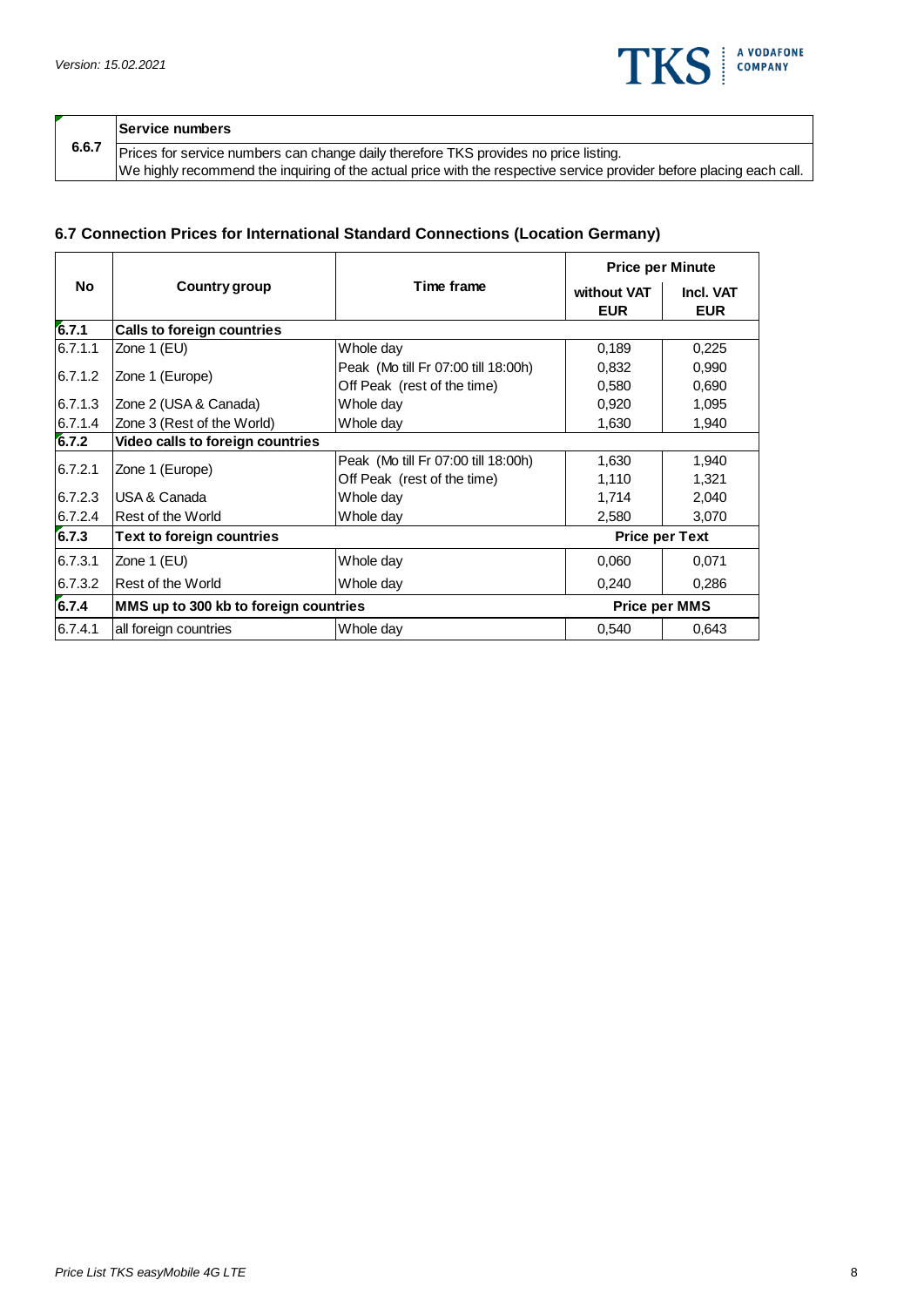

| 6.6.7 | Service numbers                                                                                                      |
|-------|----------------------------------------------------------------------------------------------------------------------|
|       | Prices for service numbers can change daily therefore TKS provides no price listing.                                 |
|       | We highly recommend the inquiring of the actual price with the respective service provider before placing each call. |

# **6.7 Connection Prices for International Standard Connections (Location Germany)**

|         |                                       |                                     | <b>Price per Minute</b>   |                         |  |
|---------|---------------------------------------|-------------------------------------|---------------------------|-------------------------|--|
| No.     | Time frame<br>Country group           |                                     | without VAT<br><b>EUR</b> | Incl. VAT<br><b>EUR</b> |  |
| 6.7.1   | <b>Calls to foreign countries</b>     |                                     |                           |                         |  |
| 6.7.1.1 | Zone 1 (EU)                           | Whole day                           | 0,189                     | 0,225                   |  |
| 6.7.1.2 |                                       | Peak (Mo till Fr 07:00 till 18:00h) | 0,832                     | 0,990                   |  |
|         | Zone 1 (Europe)                       | Off Peak (rest of the time)         | 0,580                     | 0,690                   |  |
| 6.7.1.3 | Zone 2 (USA & Canada)                 | Whole day                           | 0,920                     | 1,095                   |  |
| 6.7.1.4 | Zone 3 (Rest of the World)            | Whole day                           | 1,630                     | 1,940                   |  |
| 6.7.2   | Video calls to foreign countries      |                                     |                           |                         |  |
| 6.7.2.1 |                                       | Peak (Mo till Fr 07:00 till 18:00h) | 1,630                     | 1,940                   |  |
|         | Zone 1 (Europe)                       | Off Peak (rest of the time)         | 1,110                     | 1,321                   |  |
| 6.7.2.3 | USA & Canada                          | Whole day                           | 1,714                     | 2,040                   |  |
| 6.7.2.4 | Rest of the World                     | Whole day                           | 2,580                     | 3,070                   |  |
| 6.7.3   | <b>Text to foreign countries</b>      |                                     |                           | <b>Price per Text</b>   |  |
| 6.7.3.1 | Zone 1 (EU)                           | Whole day                           | 0,060                     | 0,071                   |  |
| 6.7.3.2 | <b>IRest of the World</b>             | Whole day                           | 0,240                     | 0,286                   |  |
| 6.7.4   | MMS up to 300 kb to foreign countries | <b>Price per MMS</b>                |                           |                         |  |
| 6.7.4.1 | all foreign countries                 | Whole day                           | 0,540                     | 0.643                   |  |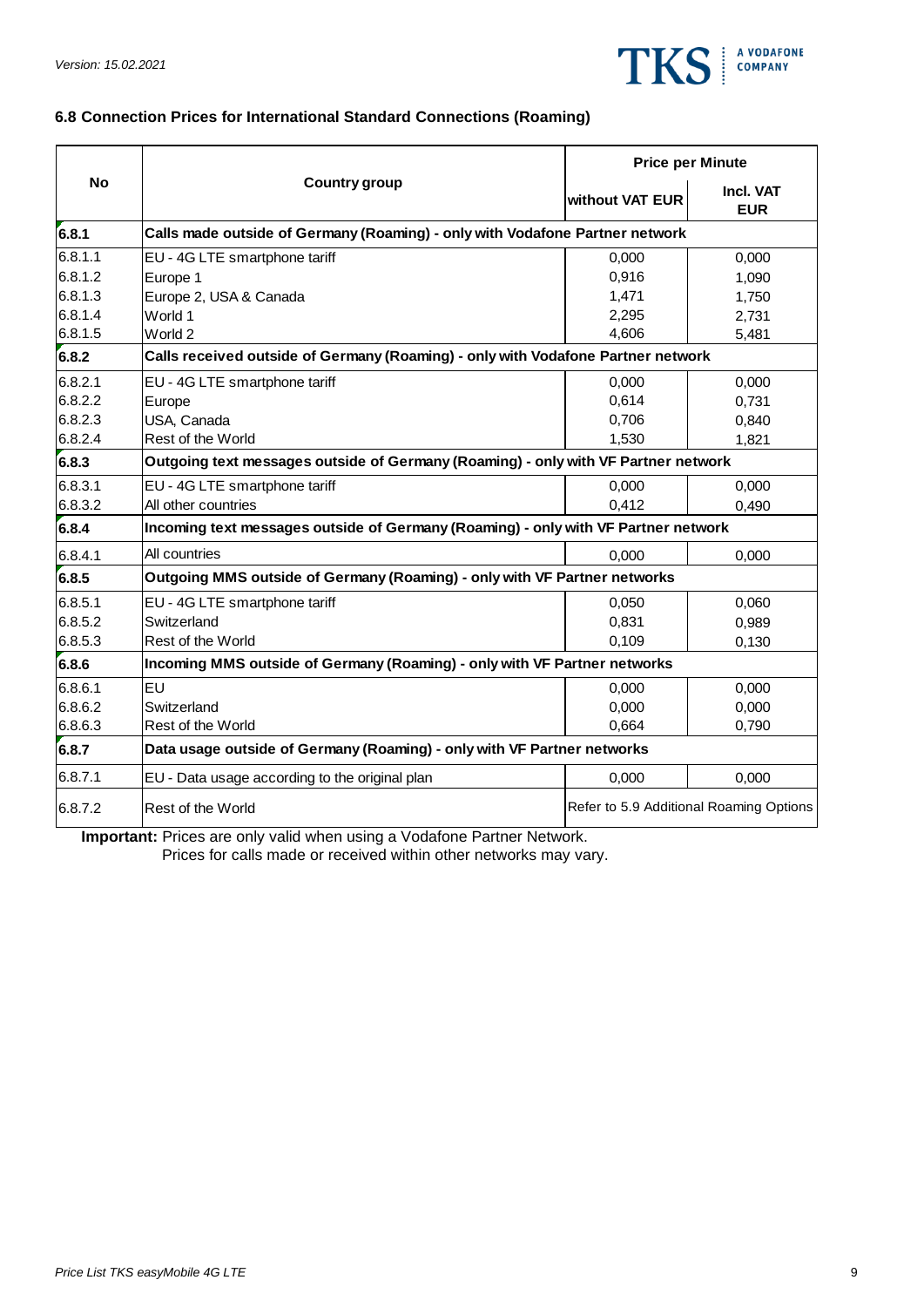

### **6.8 Connection Prices for International Standard Connections (Roaming)**

|           |                                                                                    | <b>Price per Minute</b>                 |                                |  |  |
|-----------|------------------------------------------------------------------------------------|-----------------------------------------|--------------------------------|--|--|
| <b>No</b> | <b>Country group</b>                                                               | without VAT EUR                         | <b>Incl. VAT</b><br><b>EUR</b> |  |  |
| 6.8.1     | Calls made outside of Germany (Roaming) - only with Vodafone Partner network       |                                         |                                |  |  |
| 6.8.1.1   | EU - 4G LTE smartphone tariff                                                      | 0,000                                   | 0,000                          |  |  |
| 6.8.1.2   | Europe 1                                                                           | 0,916                                   | 1,090                          |  |  |
| 6.8.1.3   | Europe 2, USA & Canada                                                             | 1,471                                   | 1,750                          |  |  |
| 6.8.1.4   | World 1                                                                            | 2,295                                   | 2,731                          |  |  |
| 6.8.1.5   | World 2                                                                            | 4,606                                   | 5.481                          |  |  |
| 6.8.2     | Calls received outside of Germany (Roaming) - only with Vodafone Partner network   |                                         |                                |  |  |
| 6.8.2.1   | EU - 4G LTE smartphone tariff                                                      | 0,000                                   | 0,000                          |  |  |
| 6.8.2.2   | Europe                                                                             | 0,614                                   | 0,731                          |  |  |
| 6.8.2.3   | USA, Canada                                                                        | 0,706                                   | 0,840                          |  |  |
| 6.8.2.4   | Rest of the World                                                                  | 1,530                                   | 1,821                          |  |  |
| 6.8.3     | Outgoing text messages outside of Germany (Roaming) - only with VF Partner network |                                         |                                |  |  |
| 6.8.3.1   | EU - 4G LTE smartphone tariff                                                      | 0,000                                   | 0,000                          |  |  |
| 6.8.3.2   | All other countries                                                                | 0,412                                   | 0,490                          |  |  |
| 6.8.4     | Incoming text messages outside of Germany (Roaming) - only with VF Partner network |                                         |                                |  |  |
| 6.8.4.1   | All countries                                                                      | 0,000                                   | 0,000                          |  |  |
| 6.8.5     | Outgoing MMS outside of Germany (Roaming) - only with VF Partner networks          |                                         |                                |  |  |
| 6.8.5.1   | EU - 4G LTE smartphone tariff                                                      | 0,050                                   | 0,060                          |  |  |
| 6.8.5.2   | Switzerland                                                                        | 0,831                                   | 0,989                          |  |  |
| 6.8.5.3   | Rest of the World                                                                  | 0,109                                   | 0,130                          |  |  |
| 6.8.6     | Incoming MMS outside of Germany (Roaming) - only with VF Partner networks          |                                         |                                |  |  |
| 6.8.6.1   | EU                                                                                 | 0,000                                   | 0,000                          |  |  |
| 6.8.6.2   | Switzerland                                                                        | 0,000                                   | 0,000                          |  |  |
| 6.8.6.3   | Rest of the World                                                                  | 0,664                                   | 0,790                          |  |  |
| 6.8.7     | Data usage outside of Germany (Roaming) - only with VF Partner networks            |                                         |                                |  |  |
| 6.8.7.1   | EU - Data usage according to the original plan                                     | 0,000                                   | 0,000                          |  |  |
| 6.8.7.2   | Rest of the World                                                                  | Refer to 5.9 Additional Roaming Options |                                |  |  |

**Important:** Prices are only valid when using a Vodafone Partner Network.

Prices for calls made or received within other networks may vary.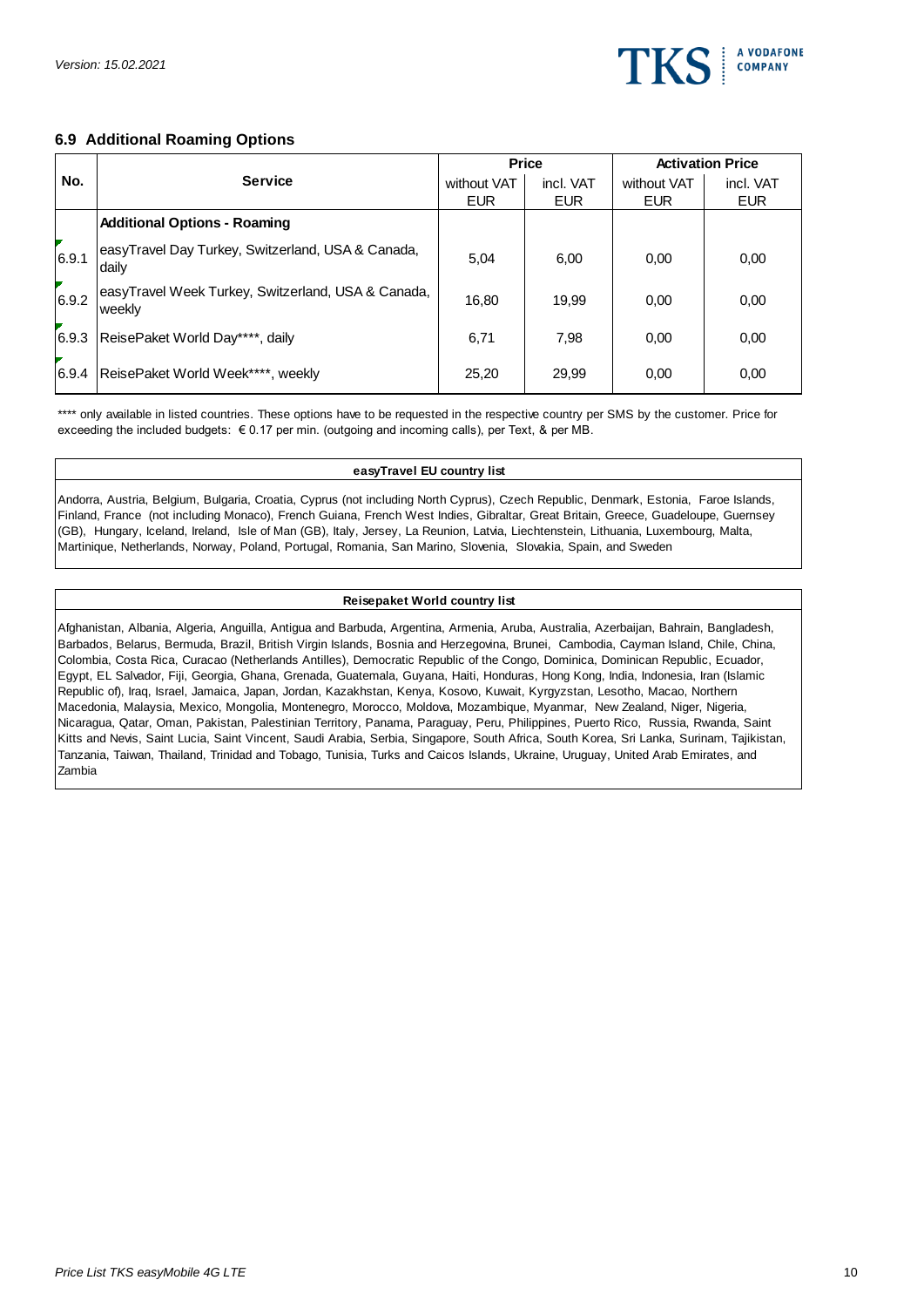

#### **6.9 Additional Roaming Options**

|       |                                                               | <b>Price</b> |            | <b>Activation Price</b> |            |
|-------|---------------------------------------------------------------|--------------|------------|-------------------------|------------|
| No.   | <b>Service</b>                                                | without VAT  | incl. VAT  | without VAT             | incl. VAT  |
|       |                                                               | <b>EUR</b>   | <b>EUR</b> | <b>EUR</b>              | <b>EUR</b> |
|       | <b>Additional Options - Roaming</b>                           |              |            |                         |            |
| 6.9.1 | easyTravel Day Turkey, Switzerland, USA & Canada,<br>dailv    | 5,04         | 6,00       | 0,00                    | 0,00       |
| 6.9.2 | easyTravel Week Turkey, Switzerland, USA & Canada,<br>lweeklv | 16,80        | 19.99      | 0,00                    | 0,00       |
| 6.9.3 | ReisePaket World Day****, daily                               | 6,71         | 7.98       | 0,00                    | 0,00       |
| 6.9.4 | ReisePaket World Week****, weekly                             | 25,20        | 29,99      | 0,00                    | 0,00       |

\*\*\*\* only available in listed countries. These options have to be requested in the respective country per SMS by the customer. Price for exceeding the included budgets: € 0.17 per min. (outgoing and incoming calls), per Text, & per MB.

#### **easyTravel EU country list**

Andorra, Austria, Belgium, Bulgaria, Croatia, Cyprus (not including North Cyprus), Czech Republic, Denmark, Estonia, Faroe Islands, Finland, France (not including Monaco), French Guiana, French West Indies, Gibraltar, Great Britain, Greece, Guadeloupe, Guernsey (GB), Hungary, Iceland, Ireland, Isle of Man (GB), Italy, Jersey, La Reunion, Latvia, Liechtenstein, Lithuania, Luxembourg, Malta, Martinique, Netherlands, Norway, Poland, Portugal, Romania, San Marino, Slovenia, Slovakia, Spain, and Sweden

#### **Reisepaket World country list**

Afghanistan, Albania, Algeria, Anguilla, Antigua and Barbuda, Argentina, Armenia, Aruba, Australia, Azerbaijan, Bahrain, Bangladesh, Barbados, Belarus, Bermuda, Brazil, British Virgin Islands, Bosnia and Herzegovina, Brunei, Cambodia, Cayman Island, Chile, China, Colombia, Costa Rica, Curacao (Netherlands Antilles), Democratic Republic of the Congo, Dominica, Dominican Republic, Ecuador, Egypt, EL Salvador, Fiji, Georgia, Ghana, Grenada, Guatemala, Guyana, Haiti, Honduras, Hong Kong, India, Indonesia, Iran (Islamic Republic of), Iraq, Israel, Jamaica, Japan, Jordan, Kazakhstan, Kenya, Kosovo, Kuwait, Kyrgyzstan, Lesotho, Macao, Northern Macedonia, Malaysia, Mexico, Mongolia, Montenegro, Morocco, Moldova, Mozambique, Myanmar, New Zealand, Niger, Nigeria, Nicaragua, Qatar, Oman, Pakistan, Palestinian Territory, Panama, Paraguay, Peru, Philippines, Puerto Rico, Russia, Rwanda, Saint Kitts and Nevis, Saint Lucia, Saint Vincent, Saudi Arabia, Serbia, Singapore, South Africa, South Korea, Sri Lanka, Surinam, Tajikistan, Tanzania, Taiwan, Thailand, Trinidad and Tobago, Tunisia, Turks and Caicos Islands, Ukraine, Uruguay, United Arab Emirates, and Zambia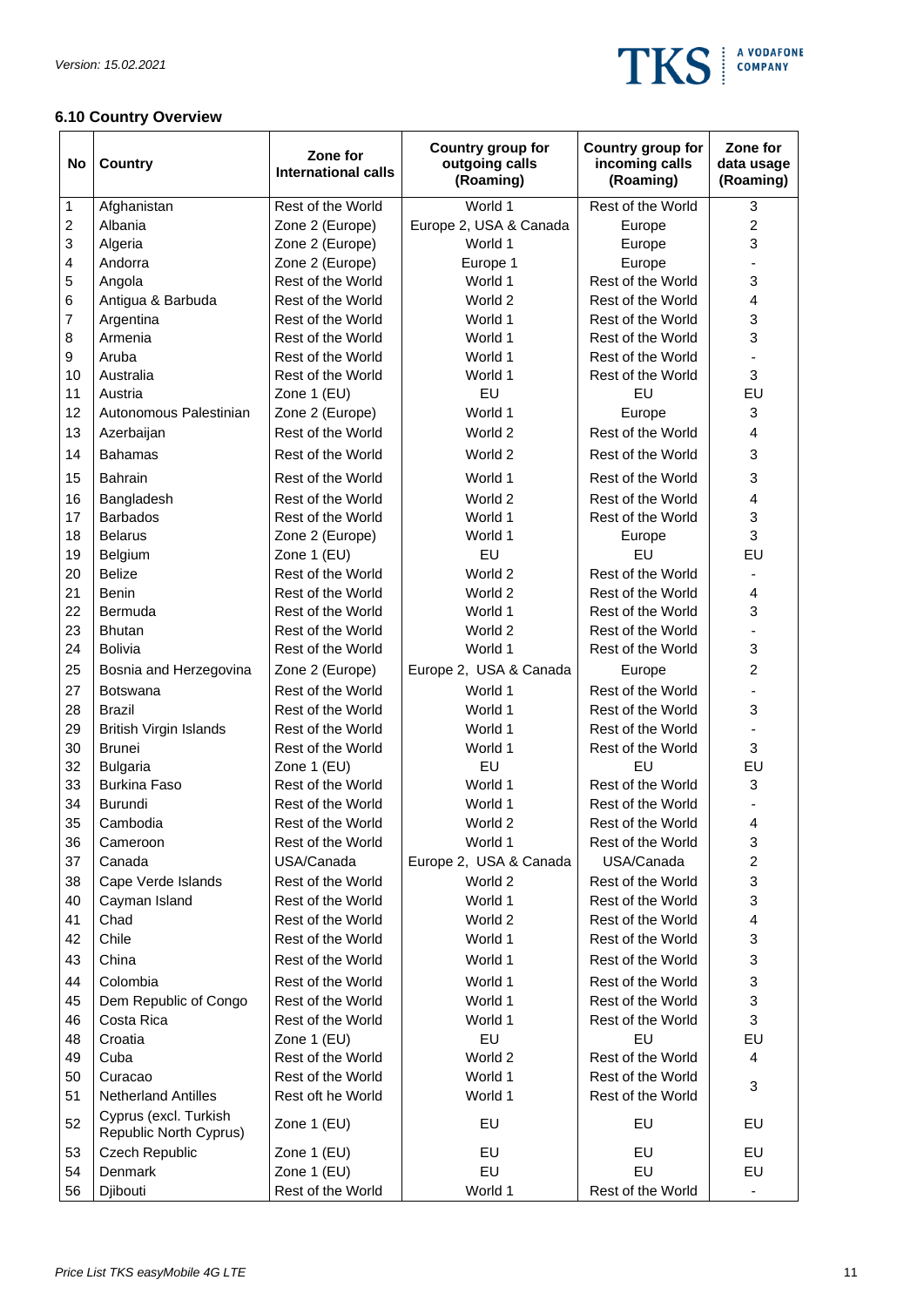

# **6.10 Country Overview**

| No             | <b>Country</b>                                  | Zone for<br><b>International calls</b> | Country group for<br>outgoing calls<br>(Roaming) | Country group for<br>incoming calls<br>(Roaming) | Zone for<br>data usage<br>(Roaming) |
|----------------|-------------------------------------------------|----------------------------------------|--------------------------------------------------|--------------------------------------------------|-------------------------------------|
| 1              | Afghanistan                                     | Rest of the World                      | World 1                                          | Rest of the World                                | 3                                   |
| $\overline{c}$ | Albania                                         | Zone 2 (Europe)                        | Europe 2, USA & Canada                           | Europe                                           | $\overline{c}$                      |
| 3              | Algeria                                         | Zone 2 (Europe)                        | World 1                                          | Europe                                           | 3                                   |
| 4              | Andorra                                         | Zone 2 (Europe)                        | Europe 1                                         | Europe                                           |                                     |
| 5              | Angola                                          | Rest of the World                      | World 1                                          | Rest of the World                                | 3                                   |
| 6              | Antigua & Barbuda                               | Rest of the World                      | World 2                                          | Rest of the World                                | 4                                   |
| 7              | Argentina                                       | Rest of the World                      | World 1                                          | Rest of the World                                | $\ensuremath{\mathsf{3}}$           |
| 8              | Armenia                                         | Rest of the World                      | World 1                                          | Rest of the World                                | 3                                   |
| 9              | Aruba                                           | Rest of the World                      | World 1                                          | Rest of the World                                |                                     |
| 10             | Australia                                       | Rest of the World                      | World 1                                          | Rest of the World                                | 3                                   |
| 11             | Austria                                         | Zone 1 (EU)                            | EU                                               | EU                                               | EU                                  |
| 12             | Autonomous Palestinian                          | Zone 2 (Europe)                        | World 1                                          | Europe                                           | 3                                   |
| 13             | Azerbaijan                                      | Rest of the World                      | World 2                                          | Rest of the World                                | $\overline{4}$                      |
| 14             | <b>Bahamas</b>                                  | Rest of the World                      | World 2                                          | Rest of the World                                | 3                                   |
| 15             | <b>Bahrain</b>                                  | Rest of the World                      | World 1                                          | Rest of the World                                | $\ensuremath{\mathsf{3}}$           |
| 16             | Bangladesh                                      | Rest of the World                      | World 2                                          | Rest of the World                                | $\overline{4}$                      |
| 17             | <b>Barbados</b>                                 | Rest of the World                      | World 1                                          | Rest of the World                                | $\ensuremath{\mathsf{3}}$           |
| 18             | <b>Belarus</b>                                  | Zone 2 (Europe)                        | World 1                                          | Europe                                           | 3                                   |
| 19             | Belgium                                         | Zone 1 (EU)                            | EU                                               | EU                                               | EU                                  |
| 20             | <b>Belize</b>                                   | Rest of the World                      | World 2                                          | Rest of the World                                |                                     |
| 21             | <b>Benin</b>                                    | Rest of the World                      | World 2                                          | Rest of the World                                | 4                                   |
| 22             | Bermuda                                         | Rest of the World                      | World 1                                          | Rest of the World                                | 3                                   |
| 23             | <b>Bhutan</b>                                   | Rest of the World                      | World 2                                          | Rest of the World                                |                                     |
| 24             | <b>Bolivia</b>                                  | Rest of the World                      | World 1                                          | Rest of the World                                | 3                                   |
| 25             | Bosnia and Herzegovina                          | Zone 2 (Europe)                        | Europe 2, USA & Canada                           | Europe                                           | $\overline{2}$                      |
| 27             | <b>Botswana</b>                                 | Rest of the World                      | World 1                                          | Rest of the World                                |                                     |
| 28             | Brazil                                          | Rest of the World                      | World 1                                          | Rest of the World                                | 3                                   |
| 29             | <b>British Virgin Islands</b>                   | Rest of the World                      | World 1                                          | Rest of the World                                |                                     |
| 30             | <b>Brunei</b>                                   | Rest of the World                      | World 1                                          | Rest of the World                                | 3                                   |
| 32             | <b>Bulgaria</b>                                 | Zone 1 (EU)                            | EU                                               | EU                                               | EU                                  |
| 33             | <b>Burkina Faso</b>                             | Rest of the World                      | World 1                                          | Rest of the World                                | 3                                   |
| 34             | <b>Burundi</b>                                  | Rest of the World                      | World 1                                          | Rest of the World                                |                                     |
| 35             | Cambodia                                        | Rest of the World                      | World 2                                          | Rest of the World                                | $\overline{4}$                      |
| 36             | Cameroon                                        | Rest of the World                      | World 1                                          | Rest of the World                                | 3                                   |
| 37             | Canada                                          | USA/Canada                             | Europe 2, USA & Canada                           | USA/Canada                                       | $\overline{c}$                      |
| 38             | Cape Verde Islands                              | Rest of the World                      | World 2                                          | Rest of the World                                | $\mathsf 3$                         |
| 40             | Cayman Island                                   | Rest of the World                      | World 1                                          | Rest of the World                                | $\ensuremath{\mathsf{3}}$           |
| 41             | Chad                                            | Rest of the World                      | World 2                                          | Rest of the World                                | 4                                   |
| 42             | Chile                                           | Rest of the World                      | World 1                                          | Rest of the World                                | $\ensuremath{\mathsf{3}}$           |
| 43             | China                                           | Rest of the World                      | World 1                                          | Rest of the World                                | $\ensuremath{\mathsf{3}}$           |
| 44             | Colombia                                        | Rest of the World                      | World 1                                          | Rest of the World                                | $\ensuremath{\mathsf{3}}$           |
| 45             | Dem Republic of Congo                           | Rest of the World                      | World 1                                          | Rest of the World                                | $\mathsf 3$                         |
| 46             | Costa Rica                                      | Rest of the World                      | World 1                                          | Rest of the World                                | 3                                   |
| 48             | Croatia                                         | Zone 1 (EU)                            | EU                                               | EU                                               | EU                                  |
| 49             | Cuba                                            | Rest of the World                      | World 2                                          | Rest of the World                                | $\overline{4}$                      |
| 50             | Curacao                                         | Rest of the World                      | World 1                                          | Rest of the World                                |                                     |
| 51             | <b>Netherland Antilles</b>                      | Rest oft he World                      | World 1                                          | Rest of the World                                | 3                                   |
| 52             | Cyprus (excl. Turkish<br>Republic North Cyprus) | Zone 1 (EU)                            | EU                                               | EU                                               | EU                                  |
| 53             | Czech Republic                                  | Zone 1 (EU)                            | EU                                               | EU                                               | EU                                  |
| 54             | Denmark                                         | Zone 1 (EU)                            | EU                                               | EU                                               | EU                                  |
| 56             | Djibouti                                        | Rest of the World                      | World 1                                          | Rest of the World                                | $\blacksquare$                      |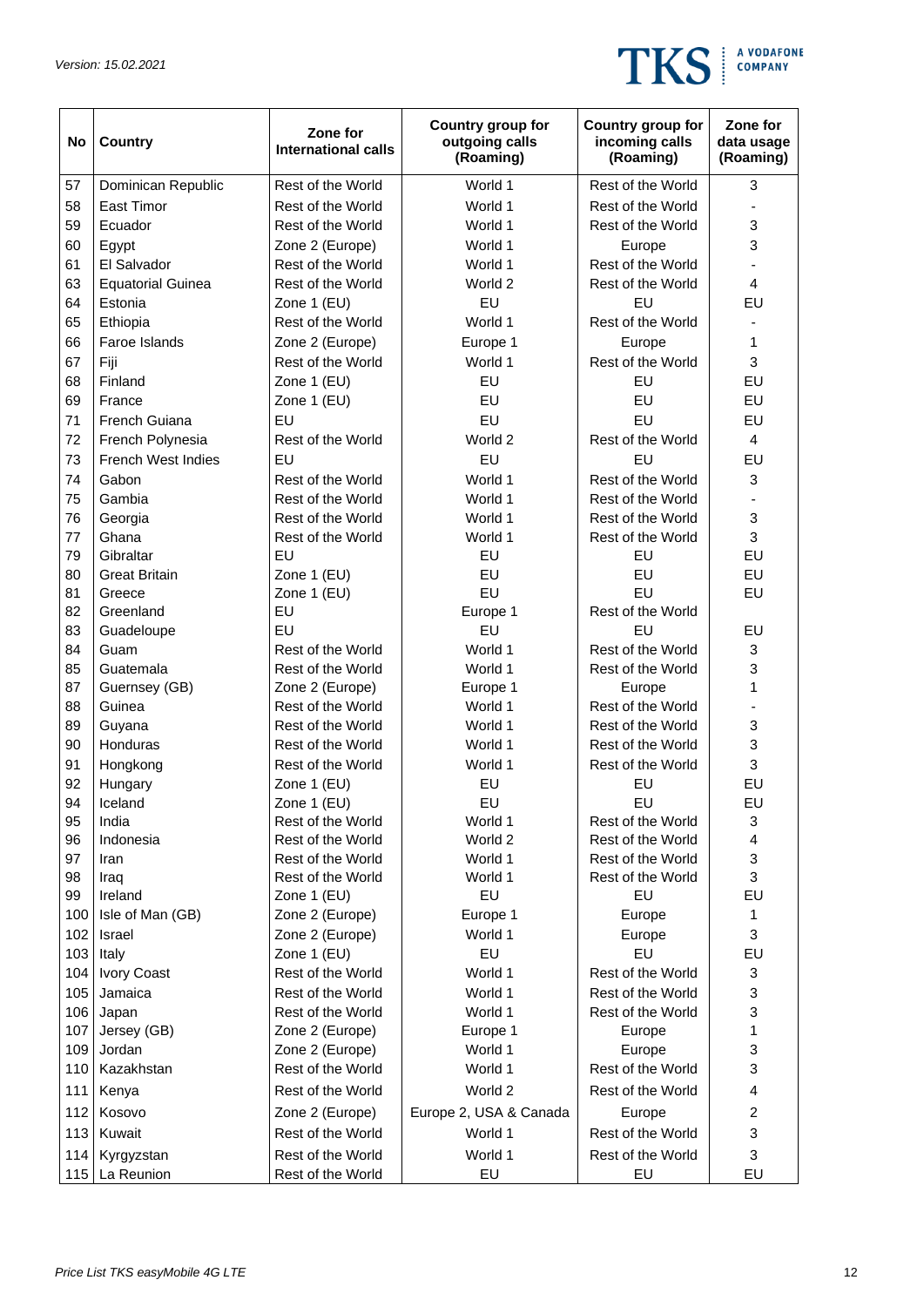

| <b>No</b>  | <b>Country</b>            | Zone for<br><b>International calls</b> | Country group for<br>outgoing calls<br>(Roaming) | Country group for<br>incoming calls<br>(Roaming) | Zone for<br>data usage<br>(Roaming)           |
|------------|---------------------------|----------------------------------------|--------------------------------------------------|--------------------------------------------------|-----------------------------------------------|
| 57         | Dominican Republic        | Rest of the World                      | World 1                                          | Rest of the World                                | 3                                             |
| 58         | East Timor                | Rest of the World                      | World 1                                          | Rest of the World                                |                                               |
| 59         | Ecuador                   | Rest of the World                      | World 1                                          | Rest of the World                                | 3                                             |
| 60         | Egypt                     | Zone 2 (Europe)                        | World 1                                          | Europe                                           | 3                                             |
| 61         | El Salvador               | Rest of the World                      | World 1                                          | Rest of the World                                |                                               |
| 63         | <b>Equatorial Guinea</b>  | Rest of the World                      | World 2                                          | Rest of the World                                | $\overline{4}$                                |
| 64         | Estonia                   | Zone 1 (EU)                            | EU                                               | EU                                               | EU                                            |
| 65         | Ethiopia                  | Rest of the World                      | World 1                                          | Rest of the World                                |                                               |
| 66         | Faroe Islands             | Zone 2 (Europe)                        | Europe 1                                         | Europe                                           | 1                                             |
| 67         | Fiji                      | Rest of the World                      | World 1                                          | Rest of the World                                | 3                                             |
| 68         | Finland                   | Zone 1 (EU)                            | EU                                               | EU                                               | EU                                            |
| 69         | France                    | Zone 1 (EU)                            | EU                                               | EU                                               | EU                                            |
| 71         | <b>French Guiana</b>      | EU                                     | EU                                               | EU                                               | EU                                            |
| 72         | French Polynesia          | Rest of the World                      | World 2                                          | Rest of the World                                | $\overline{4}$                                |
| 73         | <b>French West Indies</b> | EU                                     | EU                                               | EU                                               | EU                                            |
| 74         | Gabon                     | Rest of the World                      | World 1                                          | Rest of the World                                | 3                                             |
| 75         | Gambia                    | Rest of the World                      | World 1                                          | Rest of the World                                |                                               |
| 76         | Georgia                   | Rest of the World                      | World 1                                          | Rest of the World                                | $\ensuremath{\mathsf{3}}$                     |
| 77         | Ghana                     | Rest of the World                      | World 1                                          | Rest of the World                                | 3                                             |
| 79         | Gibraltar                 | EU                                     | EU                                               | EU                                               | EU                                            |
| 80         | <b>Great Britain</b>      | Zone 1 (EU)                            | EU                                               | EU                                               | EU                                            |
| 81         | Greece                    | Zone 1 (EU)                            | EU                                               | EU                                               | EU                                            |
| 82         | Greenland                 | EU                                     | Europe 1                                         | Rest of the World                                |                                               |
| 83         | Guadeloupe                | EU                                     | EU                                               | EU                                               | EU                                            |
| 84         | Guam                      | Rest of the World                      | World 1                                          | Rest of the World                                | $\ensuremath{\mathsf{3}}$                     |
| 85         | Guatemala                 | Rest of the World                      | World 1                                          | Rest of the World                                | 3                                             |
| 87         | Guernsey (GB)             | Zone 2 (Europe)                        | Europe 1                                         | Europe                                           | 1                                             |
| 88         | Guinea                    | Rest of the World                      | World 1                                          | Rest of the World                                |                                               |
| 89         | Guyana                    | Rest of the World                      | World 1                                          | Rest of the World                                | 3                                             |
| 90         | Honduras                  | Rest of the World                      | World 1                                          | Rest of the World                                | 3                                             |
| 91         | Hongkong                  | Rest of the World                      | World 1                                          | Rest of the World                                | $\ensuremath{\mathsf{3}}$                     |
| 92         | Hungary                   | Zone 1 (EU)                            | EU                                               | EU                                               | EU                                            |
| 94         | Iceland                   | Zone 1 (EU)                            | EU                                               | EU                                               | EU                                            |
| 95         | India                     | Rest of the World                      | World 1                                          | Rest of the World                                | 3                                             |
| 96         | Indonesia                 | Rest of the World                      | World 2                                          | Rest of the World                                | $\overline{\mathbf{4}}$                       |
| 97         | Iran                      | Rest of the World                      | World 1                                          | Rest of the World                                | $\ensuremath{\mathsf{3}}$                     |
| 98         | Iraq                      | Rest of the World                      | World 1                                          | Rest of the World                                | 3                                             |
| 99         | Ireland                   | Zone 1 (EU)                            | EU                                               | EU                                               | EU                                            |
| 100        | Isle of Man (GB)          | Zone 2 (Europe)                        | Europe 1                                         | Europe                                           | 1                                             |
| 102        | Israel                    | Zone 2 (Europe)                        | World 1                                          | Europe                                           | 3                                             |
| 103        | Italy                     | Zone 1 (EU)                            | EU                                               | EU                                               | EU                                            |
| 104        | <b>Ivory Coast</b>        | Rest of the World                      | World 1                                          | Rest of the World                                | 3                                             |
| 105        | Jamaica                   | Rest of the World                      | World 1                                          | Rest of the World                                | 3                                             |
| 106        | Japan                     | Rest of the World                      | World 1                                          | Rest of the World                                | $\ensuremath{\mathsf{3}}$                     |
| 107        | Jersey (GB)               | Zone 2 (Europe)                        | Europe 1                                         | Europe                                           | 1                                             |
| 109        | Jordan                    | Zone 2 (Europe)                        | World 1                                          | Europe                                           | 3                                             |
| 110        | Kazakhstan                | Rest of the World<br>Rest of the World | World 1                                          | Rest of the World                                | 3                                             |
| 111        | Kenya                     |                                        | World 2                                          | Rest of the World                                | 4                                             |
| 112<br>113 | Kosovo<br>Kuwait          | Zone 2 (Europe)<br>Rest of the World   | Europe 2, USA & Canada<br>World 1                | Europe<br>Rest of the World                      | $\boldsymbol{2}$<br>$\ensuremath{\mathsf{3}}$ |
| 114        | Kyrgyzstan                | Rest of the World                      | World 1                                          | Rest of the World                                | 3                                             |
| 115        | La Reunion                | Rest of the World                      | EU                                               | EU                                               | EU                                            |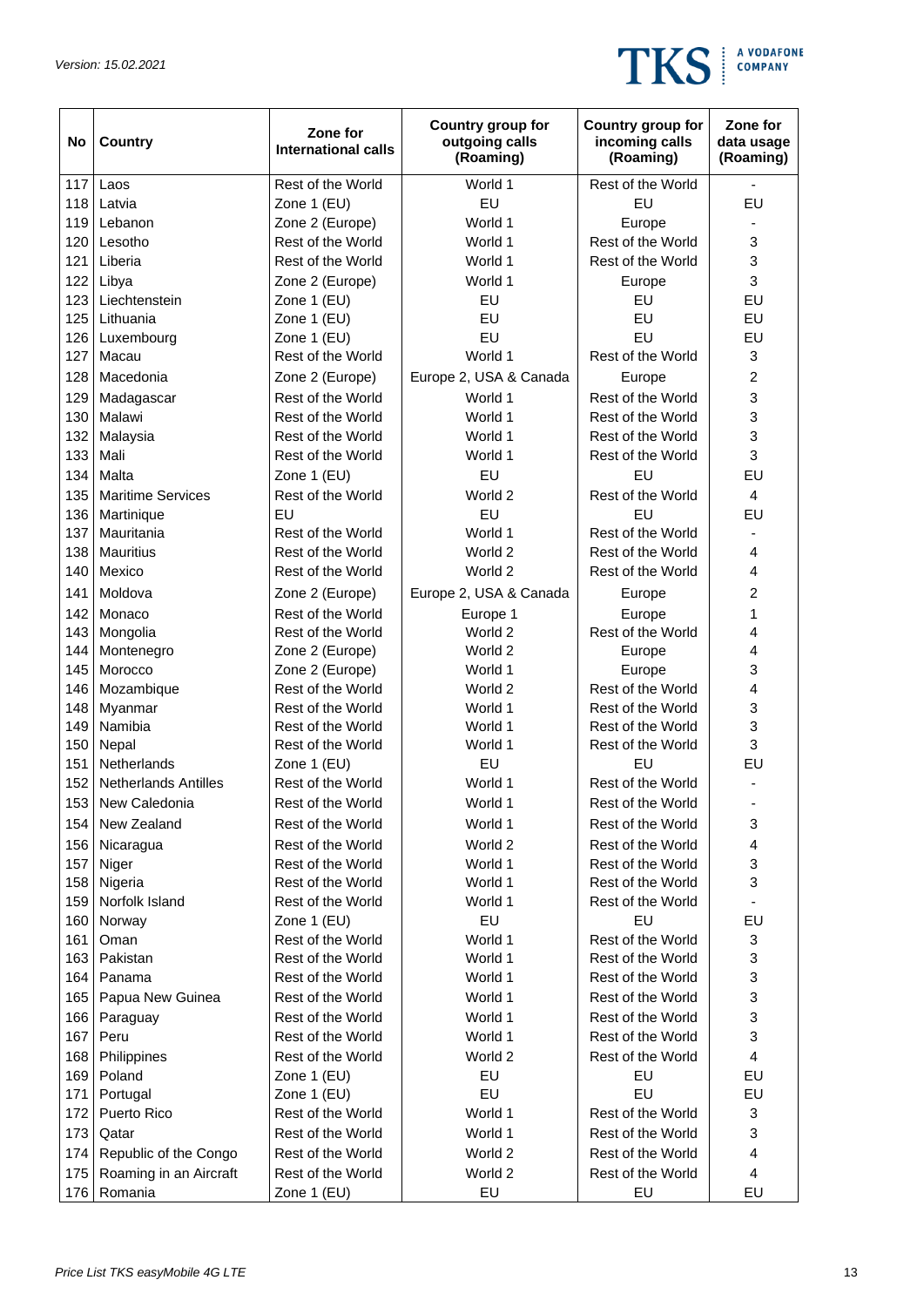

| No  | <b>Country</b>              | Zone for<br><b>International calls</b> | Country group for<br>outgoing calls<br>(Roaming) | Country group for<br>incoming calls<br>(Roaming) | Zone for<br>data usage<br>(Roaming) |
|-----|-----------------------------|----------------------------------------|--------------------------------------------------|--------------------------------------------------|-------------------------------------|
| 117 | Laos                        | Rest of the World                      | World 1                                          | Rest of the World                                |                                     |
| 118 | Latvia                      | Zone 1 (EU)                            | EU                                               | EU                                               | EU                                  |
| 119 | Lebanon                     | Zone 2 (Europe)                        | World 1                                          | Europe                                           |                                     |
| 120 | Lesotho                     | Rest of the World                      | World 1                                          | Rest of the World                                | 3                                   |
| 121 | Liberia                     | Rest of the World                      | World 1                                          | Rest of the World                                | 3                                   |
| 122 | Libya                       | Zone 2 (Europe)                        | World 1                                          | Europe                                           | 3                                   |
| 123 | Liechtenstein               | Zone 1 (EU)                            | EU                                               | EU                                               | EU                                  |
| 125 | Lithuania                   | Zone 1 (EU)                            | EU                                               | EU                                               | EU                                  |
| 126 | Luxembourg                  | Zone 1 (EU)                            | EU                                               | EU                                               | EU                                  |
| 127 | Macau                       | Rest of the World                      | World 1                                          | Rest of the World                                | 3                                   |
| 128 | Macedonia                   | Zone 2 (Europe)                        | Europe 2, USA & Canada                           | Europe                                           | $\overline{2}$                      |
| 129 | Madagascar                  | Rest of the World                      | World 1                                          | Rest of the World                                | 3                                   |
| 130 | Malawi                      | Rest of the World                      | World 1                                          | Rest of the World                                | 3                                   |
| 132 | Malaysia                    | Rest of the World                      | World 1                                          | Rest of the World                                | 3                                   |
| 133 | Mali                        | Rest of the World                      | World 1                                          | Rest of the World                                | 3                                   |
| 134 | Malta                       | Zone 1 (EU)                            | EU                                               | EU                                               | EU                                  |
| 135 | <b>Maritime Services</b>    | Rest of the World                      | World 2                                          | Rest of the World                                | $\overline{4}$                      |
| 136 | Martinique                  | EU                                     | EU                                               | EU                                               | EU                                  |
| 137 | Mauritania                  | Rest of the World                      | World 1                                          | Rest of the World                                |                                     |
| 138 | Mauritius                   | Rest of the World                      | World 2                                          | Rest of the World                                | 4                                   |
| 140 | Mexico                      | Rest of the World                      | World 2                                          | Rest of the World                                | 4                                   |
| 141 | Moldova                     | Zone 2 (Europe)                        | Europe 2, USA & Canada                           | Europe                                           | 2                                   |
| 142 | Monaco                      | Rest of the World                      | Europe 1                                         | Europe                                           | 1                                   |
| 143 | Mongolia                    | Rest of the World                      | World 2                                          | Rest of the World                                | 4                                   |
| 144 | Montenegro                  | Zone 2 (Europe)                        | World 2                                          | Europe                                           | 4                                   |
| 145 | Morocco                     | Zone 2 (Europe)                        | World 1                                          | Europe                                           | 3                                   |
| 146 | Mozambique                  | Rest of the World                      | World 2                                          | Rest of the World                                | 4                                   |
| 148 | Myanmar                     | Rest of the World                      | World 1                                          | Rest of the World                                | 3                                   |
| 149 | Namibia                     | Rest of the World                      | World 1                                          | Rest of the World                                | 3                                   |
| 150 | Nepal                       | Rest of the World                      | World 1                                          | Rest of the World                                | 3                                   |
| 151 | <b>Netherlands</b>          | Zone 1 (EU)                            | EU                                               | EU                                               | EU                                  |
| 152 | <b>Netherlands Antilles</b> | Rest of the World                      | World 1                                          | Rest of the World                                | -                                   |
| 153 | New Caledonia               | Rest of the World                      | World 1                                          | Rest of the World                                |                                     |
| 154 | New Zealand                 | Rest of the World                      | World 1                                          | Rest of the World                                | 3                                   |
| 156 | Nicaragua                   | Rest of the World                      | World 2                                          | Rest of the World                                | 4                                   |
| 157 | Niger                       | Rest of the World                      | World 1                                          | Rest of the World                                | 3                                   |
| 158 | Nigeria                     | Rest of the World                      | World 1                                          | Rest of the World                                | 3                                   |
| 159 | Norfolk Island              | Rest of the World                      | World 1                                          | Rest of the World                                |                                     |
| 160 | Norway                      | Zone 1 (EU)                            | EU                                               | EU                                               | EU                                  |
| 161 | Oman                        | Rest of the World                      | World 1                                          | Rest of the World                                | 3                                   |
| 163 | Pakistan                    | Rest of the World                      | World 1                                          | Rest of the World                                | 3                                   |
| 164 | Panama                      | Rest of the World                      | World 1                                          | Rest of the World                                | 3                                   |
| 165 | Papua New Guinea            | Rest of the World                      | World 1                                          | Rest of the World                                | 3                                   |
| 166 | Paraguay                    | Rest of the World                      | World 1                                          | Rest of the World                                | 3                                   |
| 167 | Peru                        | Rest of the World                      | World 1                                          | Rest of the World                                | 3                                   |
| 168 | Philippines                 | Rest of the World                      | World 2                                          | Rest of the World                                | $\overline{\mathbf{4}}$             |
| 169 | Poland                      | Zone 1 (EU)                            | EU                                               | EU                                               | EU                                  |
| 171 | Portugal                    | Zone 1 (EU)                            | EU                                               | EU                                               | EU                                  |
| 172 | Puerto Rico                 | Rest of the World                      | World 1                                          | Rest of the World                                | 3                                   |
| 173 | Qatar                       | Rest of the World                      | World 1                                          | Rest of the World                                | 3                                   |
| 174 | Republic of the Congo       | Rest of the World                      | World 2                                          | Rest of the World                                | 4                                   |
| 175 | Roaming in an Aircraft      | Rest of the World                      | World 2                                          | Rest of the World                                | 4                                   |
| 176 | Romania                     | Zone 1 (EU)                            | EU                                               | EU                                               | EU                                  |